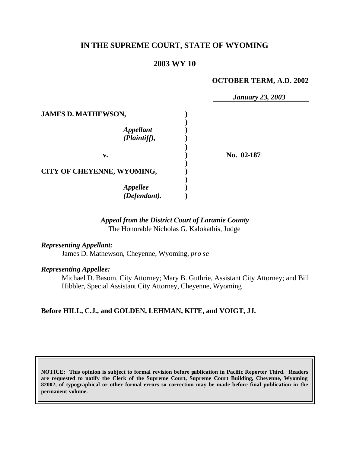# **IN THE SUPREME COURT, STATE OF WYOMING**

# **2003 WY 10**

## **OCTOBER TERM, A.D. 2002**

|                                  | <b>January 23, 2003</b> |
|----------------------------------|-------------------------|
| <b>JAMES D. MATHEWSON,</b>       |                         |
| <b>Appellant</b><br>(Plaintiff), |                         |
| v.                               | No. 02-187              |
| CITY OF CHEYENNE, WYOMING,       |                         |
| <b>Appellee</b><br>(Defendant).  |                         |

# *Appeal from the District Court of Laramie County* The Honorable Nicholas G. Kalokathis, Judge

## *Representing Appellant:*

James D. Mathewson, Cheyenne, Wyoming, *pro se*

### *Representing Appellee:*

Michael D. Basom, City Attorney; Mary B. Guthrie, Assistant City Attorney; and Bill Hibbler, Special Assistant City Attorney, Cheyenne, Wyoming

# **Before HILL, C.J., and GOLDEN, LEHMAN, KITE, and VOIGT, JJ.**

**NOTICE: This opinion is subject to formal revision before publication in Pacific Reporter Third. Readers are requested to notify the Clerk of the Supreme Court, Supreme Court Building, Cheyenne, Wyoming 82002, of typographical or other formal errors so correction may be made before final publication in the permanent volume.**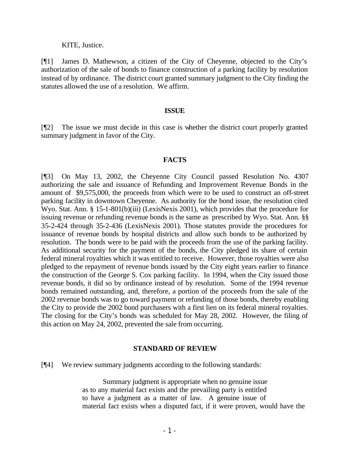#### KITE, Justice.

[¶1] James D. Mathewson, a citizen of the City of Cheyenne, objected to the City's authorization of the sale of bonds to finance construction of a parking facility by resolution instead of by ordinance. The district court granted summary judgment to the City finding the statutes allowed the use of a resolution. We affirm.

#### **ISSUE**

[¶2] The issue we must decide in this case is whether the district court properly granted summary judgment in favor of the City.

## **FACTS**

[¶3] On May 13, 2002, the Cheyenne City Council passed Resolution No. 4307 authorizing the sale and issuance of Refunding and Improvement Revenue Bonds in the amount of \$9,575,000, the proceeds from which were to be used to construct an off-street parking facility in downtown Cheyenne. As authority for the bond issue, the resolution cited Wyo. Stat. Ann. § 15-1-801(b)(iii) (LexisNexis 2001), which provides that the procedure for issuing revenue or refunding revenue bonds is the same as prescribed by Wyo. Stat. Ann. §§ 35-2-424 through 35-2-436 (LexisNexis 2001). Those statutes provide the procedures for issuance of revenue bonds by hospital districts and allow such bonds to be authorized by resolution. The bonds were to be paid with the proceeds from the use of the parking facility. As additional security for the payment of the bonds, the City pledged its share of certain federal mineral royalties which it was entitled to receive. However, those royalties were also pledged to the repayment of revenue bonds issued by the City eight years earlier to finance the construction of the George S. Cox parking facility. In 1994, when the City issued those revenue bonds, it did so by ordinance instead of by resolution. Some of the 1994 revenue bonds remained outstanding, and, therefore, a portion of the proceeds from the sale of the 2002 revenue bonds was to go toward payment or refunding of those bonds, thereby enabling the City to provide the 2002 bond purchasers with a first lien on its federal mineral royalties. The closing for the City's bonds was scheduled for May 28, 2002. However, the filing of this action on May 24, 2002, prevented the sale from occurring.

#### **STANDARD OF REVIEW**

[¶4] We review summary judgments according to the following standards:

Summary judgment is appropriate when no genuine issue as to any material fact exists and the prevailing party is entitled to have a judgment as a matter of law. A genuine issue of material fact exists when a disputed fact, if it were proven, would have the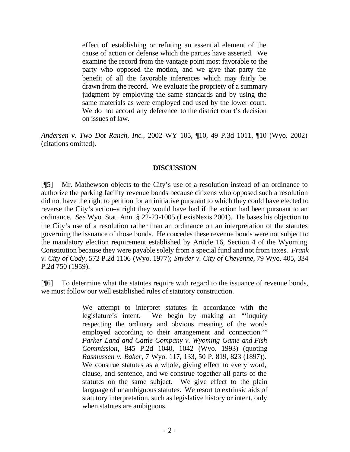effect of establishing or refuting an essential element of the cause of action or defense which the parties have asserted. We examine the record from the vantage point most favorable to the party who opposed the motion, and we give that party the benefit of all the favorable inferences which may fairly be drawn from the record. We evaluate the propriety of a summary judgment by employing the same standards and by using the same materials as were employed and used by the lower court. We do not accord any deference to the district court's decision on issues of law.

*Andersen v. Two Dot Ranch, Inc.*, 2002 WY 105, ¶10, 49 P.3d 1011, ¶10 (Wyo. 2002) (citations omitted).

# **DISCUSSION**

[¶5] Mr. Mathewson objects to the City's use of a resolution instead of an ordinance to authorize the parking facility revenue bonds because citizens who opposed such a resolution did not have the right to petition for an initiative pursuant to which they could have elected to reverse the City's action–a right they would have had if the action had been pursuant to an ordinance. *See* Wyo. Stat. Ann. § 22-23-1005 (LexisNexis 2001). He bases his objection to the City's use of a resolution rather than an ordinance on an interpretation of the statutes governing the issuance of those bonds. He concedes these revenue bonds were not subject to the mandatory election requirement established by Article 16, Section 4 of the Wyoming Constitution because they were payable solely from a special fund and not from taxes. *Frank v. City of Cody*, 572 P.2d 1106 (Wyo. 1977); *Snyder v. City of Cheyenne,* 79 Wyo. 405, 334 P.2d 750 (1959).

[¶6] To determine what the statutes require with regard to the issuance of revenue bonds, we must follow our well established rules of statutory construction.

> We attempt to interpret statutes in accordance with the legislature's intent. We begin by making an "'inquiry respecting the ordinary and obvious meaning of the words employed according to their arrangement and connection.'" *Parker Land and Cattle Company v. Wyoming Game and Fish Commission*, 845 P.2d 1040, 1042 (Wyo. 1993) (quoting *Rasmussen v. Baker*, 7 Wyo. 117, 133, 50 P. 819, 823 (1897)). We construe statutes as a whole, giving effect to every word, clause, and sentence, and we construe together all parts of the statutes on the same subject. We give effect to the plain language of unambiguous statutes. We resort to extrinsic aids of statutory interpretation, such as legislative history or intent, only when statutes are ambiguous.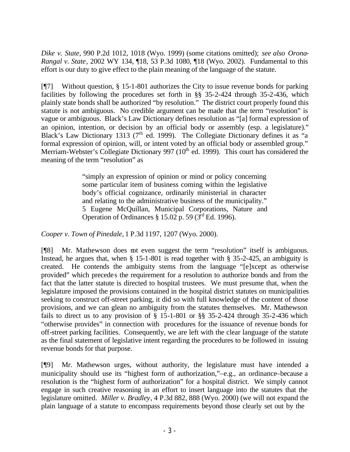*Dike v. State*, 990 P.2d 1012, 1018 (Wyo. 1999) (some citations omitted); *see also Orona-Rangal v. State*, 2002 WY 134, ¶18, 53 P.3d 1080, ¶18 (Wyo. 2002). Fundamental to this effort is our duty to give effect to the plain meaning of the language of the statute.

[¶7] Without question, § 15-1-801 authorizes the City to issue revenue bonds for parking facilities by following the procedures set forth in §§ 35-2-424 through 35-2-436, which plainly state bonds shall be authorized "by resolution." The district court properly found this statute is not ambiguous. No credible argument can be made that the term "resolution" is vague or ambiguous. Black's Law Dictionary defines resolution as "[a] formal expression of an opinion, intention, or decision by an official body or assembly (esp. a legislature)." Black's Law Dictionary 1313 ( $7<sup>th</sup>$  ed. 1999). The Collegiate Dictionary defines it as "a formal expression of opinion, will, or intent voted by an official body or assembled group." Merriam-Webster's Collegiate Dictionary 997 ( $10<sup>th</sup>$  ed. 1999). This court has considered the meaning of the term "resolution" as

> "simply an expression of opinion or mind or policy concerning some particular item of business coming within the legislative body's official cognizance, ordinarily ministerial in character and relating to the administrative business of the municipality." 5 Eugene McQuillan, Municipal Corporations, Nature and Operation of Ordinances  $\S 15.02$  p. 59 (3<sup>rd</sup> Ed. 1996).

*Cooper v. Town of Pinedale,* 1 P.3d 1197, 1207 (Wyo. 2000).

[¶8] Mr. Mathewson does not even suggest the term "resolution" itself is ambiguous. Instead, he argues that, when § 15-1-801 is read together with § 35-2-425, an ambiguity is created. He contends the ambiguity stems from the language "[e]xcept as otherwise provided" which precedes the requirement for a resolution to authorize bonds and from the fact that the latter statute is directed to hospital trustees. We must presume that, when the legislature imposed the provisions contained in the hospital district statutes on municipalities seeking to construct off-street parking, it did so with full knowledge of the content of those provisions, and we can glean no ambiguity from the statutes themselves. Mr. Mathewson fails to direct us to any provision of § 15-1-801 or §§ 35-2-424 through 35-2-436 which "otherwise provides" in connection with procedures for the issuance of revenue bonds for off-street parking facilities. Consequently, we are left with the clear language of the statute as the final statement of legislative intent regarding the procedures to be followed in issuing revenue bonds for that purpose.

[¶9] Mr. Mathewson urges, without authority, the legislature must have intended a municipality should use its "highest form of authorization,"–e.g., an ordinance–because a resolution is the "highest form of authorization" for a hospital district. We simply cannot engage in such creative reasoning in an effort to insert language into the statutes that the legislature omitted. *Miller v. Bradley*, 4 P.3d 882, 888 (Wyo. 2000) (we will not expand the plain language of a statute to encompass requirements beyond those clearly set out by the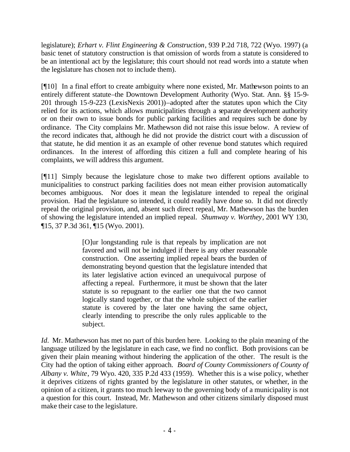legislature); *Erhart v. Flint Engineering & Construction*, 939 P.2d 718, 722 (Wyo. 1997) (a basic tenet of statutory construction is that omission of words from a statute is considered to be an intentional act by the legislature; this court should not read words into a statute when the legislature has chosen not to include them).

[¶10] In a final effort to create ambiguity where none existed, Mr. Mathewson points to an entirely different statute–the Downtown Development Authority (Wyo. Stat. Ann. §§ 15-9- 201 through 15-9-223 (LexisNexis 2001))–adopted after the statutes upon which the City relied for its actions, which allows municipalities through a separate development authority or on their own to issue bonds for public parking facilities and requires such be done by ordinance. The City complains Mr. Mathewson did not raise this issue below. A review of the record indicates that, although he did not provide the district court with a discussion of that statute, he did mention it as an example of other revenue bond statutes which required ordinances. In the interest of affording this citizen a full and complete hearing of his complaints, we will address this argument.

[¶11] Simply because the legislature chose to make two different options available to municipalities to construct parking facilities does not mean either provision automatically becomes ambiguous. Nor does it mean the legislature intended to repeal the original provision. Had the legislature so intended, it could readily have done so. It did not directly repeal the original provision, and, absent such direct repeal, Mr. Mathewson has the burden of showing the legislature intended an implied repeal. *Shumway v. Worthey*, 2001 WY 130, ¶15, 37 P.3d 361, ¶15 (Wyo. 2001).

> [O]ur longstanding rule is that repeals by implication are not favored and will not be indulged if there is any other reasonable construction. One asserting implied repeal bears the burden of demonstrating beyond question that the legislature intended that its later legislative action evinced an unequivocal purpose of affecting a repeal. Furthermore, it must be shown that the later statute is so repugnant to the earlier one that the two cannot logically stand together, or that the whole subject of the earlier statute is covered by the later one having the same object, clearly intending to prescribe the only rules applicable to the subject.

*Id.* Mr. Mathewson has met no part of this burden here. Looking to the plain meaning of the language utilized by the legislature in each case, we find no conflict. Both provisions can be given their plain meaning without hindering the application of the other. The result is the City had the option of taking either approach. *Board of County Commissioners of County of Albany v. White*, 79 Wyo. 420, 335 P.2d 433 (1959). Whether this is a wise policy, whether it deprives citizens of rights granted by the legislature in other statutes, or whether, in the opinion of a citizen, it grants too much leeway to the governing body of a municipality is not a question for this court. Instead, Mr. Mathewson and other citizens similarly disposed must make their case to the legislature.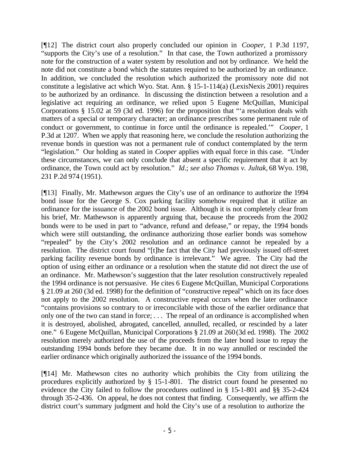[¶12] The district court also properly concluded our opinion in *Cooper,* 1 P.3d 1197, "supports the City's use of a resolution." In that case, the Town authorized a promissory note for the construction of a water system by resolution and not by ordinance. We held the note did not constitute a bond which the statutes required to be authorized by an ordinance. In addition, we concluded the resolution which authorized the promissory note did not constitute a legislative act which Wyo. Stat. Ann. § 15-1-114(a) (LexisNexis 2001) requires to be authorized by an ordinance. In discussing the distinction between a resolution and a legislative act requiring an ordinance, we relied upon 5 Eugene McQuillan, Municipal Corporations § 15.02 at 59 (3d ed. 1996) for the proposition that "'a resolution deals with matters of a special or temporary character; an ordinance prescribes some permanent rule of conduct or government, to continue in force until the ordinance is repealed.'" *Cooper,* 1 P.3d at 1207. When we apply that reasoning here, we conclude the resolution authorizing the revenue bonds in question was not a permanent rule of conduct contemplated by the term "legislation." Our holding as stated in *Cooper* applies with equal force in this case. "Under these circumstances, we can only conclude that absent a specific requirement that it act by ordinance, the Town could act by resolution." *Id*.; *see also Thomas v. Jultak,* 68 Wyo. 198, 231 P.2d 974 (1951).

[¶13] Finally, Mr. Mathewson argues the City's use of an ordinance to authorize the 1994 bond issue for the George S. Cox parking facility somehow required that it utilize an ordinance for the issuance of the 2002 bond issue. Although it is not completely clear from his brief, Mr. Mathewson is apparently arguing that, because the proceeds from the 2002 bonds were to be used in part to "advance, refund and defease," or repay, the 1994 bonds which were still outstanding, the ordinance authorizing those earlier bonds was somehow "repealed" by the City's 2002 resolution and an ordinance cannot be repealed by a resolution. The district court found "[t]he fact that the City had previously issued off-street parking facility revenue bonds by ordinance is irrelevant." We agree. The City had the option of using either an ordinance or a resolution when the statute did not direct the use of an ordinance. Mr. Mathewson's suggestion that the later resolution constructively repealed the 1994 ordinance is not persuasive. He cites 6 Eugene McQuillan, Municipal Corporations § 21.09 at 260 (3d ed. 1998) for the definition of "constructive repeal" which on its face does not apply to the 2002 resolution. A constructive repeal occurs when the later ordinance "contains provisions so contrary to or irreconcilable with those of the earlier ordinance that only one of the two can stand in force; . . . The repeal of an ordinance is accomplished when it is destroyed, abolished, abrogated, cancelled, annulled, recalled, or rescinded by a later one." 6 Eugene McQuillan, Municipal Corporations § 21.09 at 260 (3d ed. 1998). The 2002 resolution merely authorized the use of the proceeds from the later bond issue to repay the outstanding 1994 bonds before they became due. It in no way annulled or rescinded the earlier ordinance which originally authorized the issuance of the 1994 bonds.

[¶14] Mr. Mathewson cites no authority which prohibits the City from utilizing the procedures explicitly authorized by § 15-1-801. The district court found he presented no evidence the City failed to follow the procedures outlined in § 15-1-801 and §§ 35-2-424 through 35-2-436. On appeal, he does not contest that finding. Consequently, we affirm the district court's summary judgment and hold the City's use of a resolution to authorize the